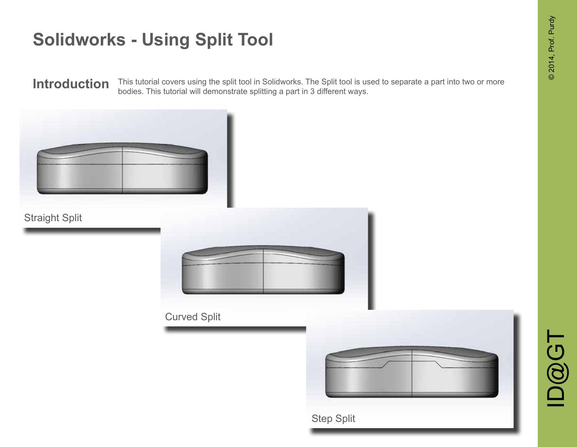This tutorial covers using the split tool in Solidworks. The Split tool is used to separate a part into two or more **Introduction** This tutorial covers using the split tool in Solidworks. The Split tool is us bodies. This tutorial will demonstrate splitting a part in 3 different ways.

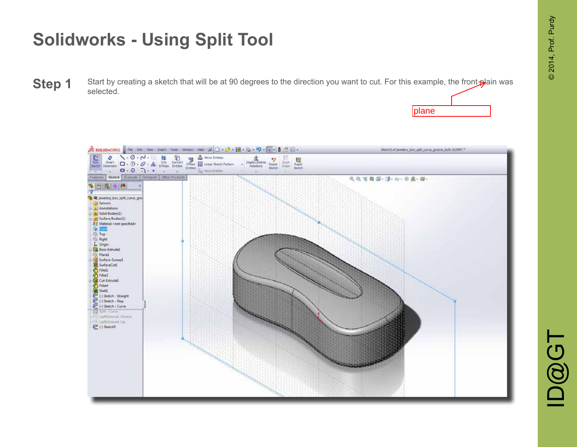plane

# **Solidworks - Using Split Tool**

Start by creating a sketch that will be at 90 degrees to the direction you want to cut. For this example, the front plain was selected. **Step 1** 



 $\mathbf{D}\widehat{\mathbf{\Omega}}$   $\mathbf{G}$   $\mathbf{T}$ **ID@GT**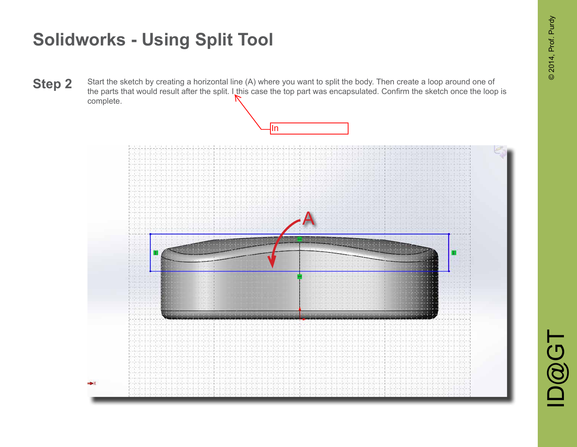Start the sketch by creating a horizontal line (A) where you want to split the body. Then create a loop around one of the parts that would result after the split. I this case the top part was encapsulated. Confirm the sketch once the loop is complete. **Step 2**

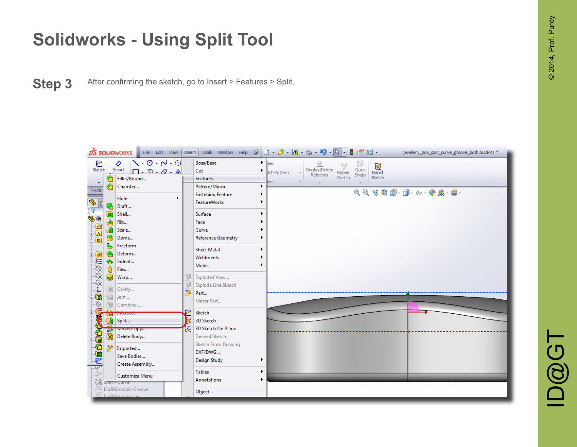**Step 3** After confirming the sketch, go to Insert > Features > Split.



 $\mathbf{D}\widehat{\mathbf{\Omega}}$   $\mathbf{G}$   $\mathbf{T}$ D@GT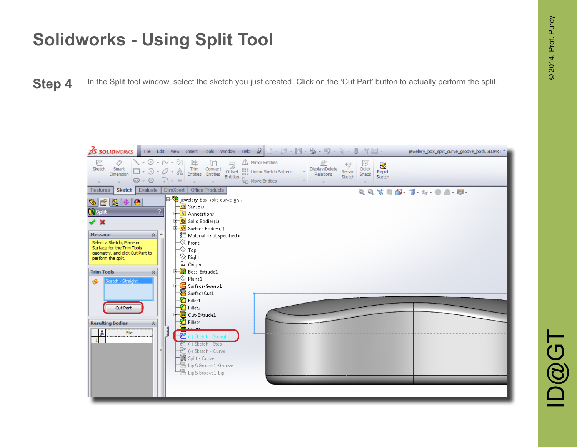**Step 4** In the Split tool window, select the sketch you just created. Click on the 'Cut Part' button to actually perform the split.

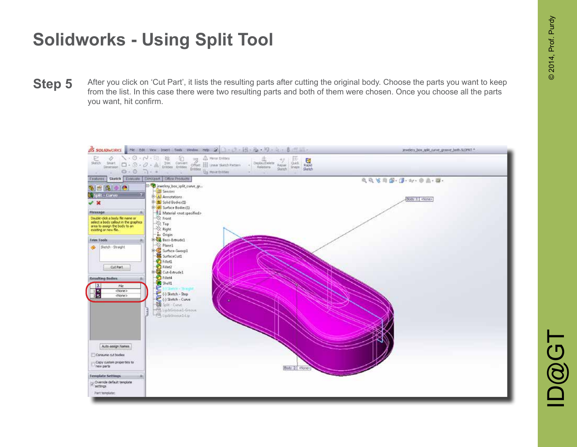After you click on 'Cut Part', it lists the resulting parts after cutting the original body. Choose the parts you want to keep from the list. In this case there were two resulting parts and both of them were chosen. Once you choose all the parts you want, hit confirm. **Step 5**

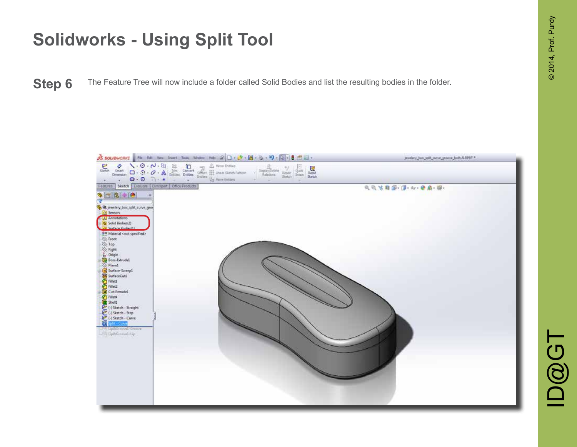**Step 6** The Feature Tree will now include a folder called Solid Bodies and list the resulting bodies in the folder.

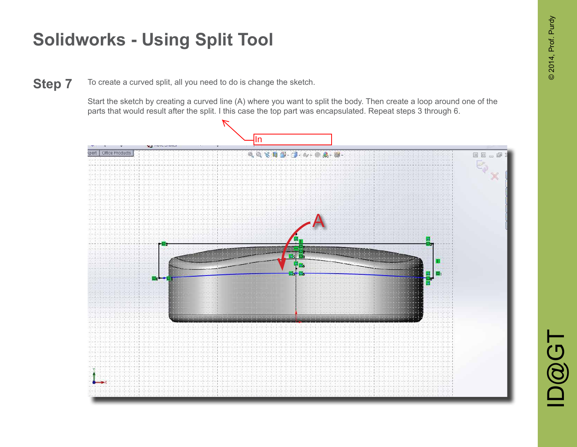**ID@GT** 

## **Solidworks - Using Split Tool**

To create a curved split, all you need to do is change the sketch. **Step 7**

> Start the sketch by creating a curved line (A) where you want to split the body. Then create a loop around one of the parts that would result after the split. I this case the top part was encapsulated. Repeat steps 3 through 6.